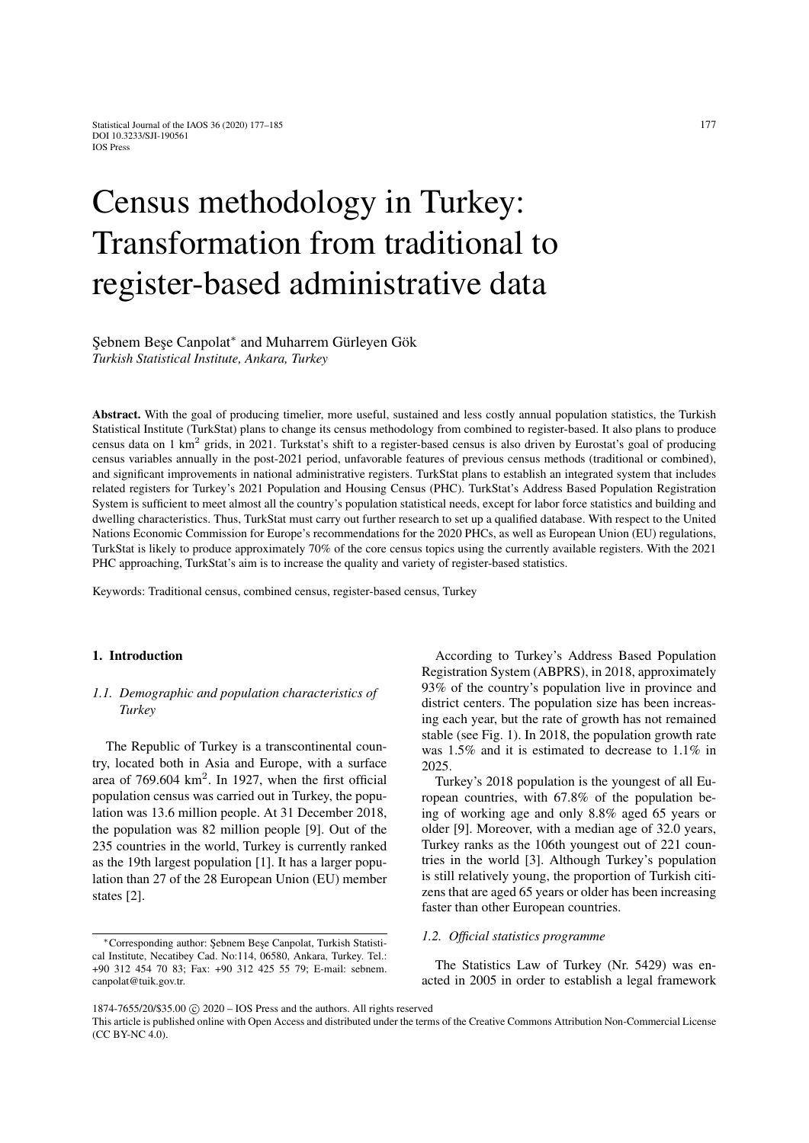# Census methodology in Turkey: Transformation from traditional to register-based administrative data

¸Sebnem Be¸se Canpolat<sup>∗</sup> and Muharrem Gürleyen Gök *Turkish Statistical Institute, Ankara, Turkey*

Abstract. With the goal of producing timelier, more useful, sustained and less costly annual population statistics, the Turkish Statistical Institute (TurkStat) plans to change its census methodology from combined to register-based. It also plans to produce census data on  $1 \text{ km}^2$  grids, in 2021. Turkstat's shift to a register-based census is also driven by Eurostat's goal of producing census variables annually in the post-2021 period, unfavorable features of previous census methods (traditional or combined), and significant improvements in national administrative registers. TurkStat plans to establish an integrated system that includes related registers for Turkey's 2021 Population and Housing Census (PHC). TurkStat's Address Based Population Registration System is sufficient to meet almost all the country's population statistical needs, except for labor force statistics and building and dwelling characteristics. Thus, TurkStat must carry out further research to set up a qualified database. With respect to the United Nations Economic Commission for Europe's recommendations for the 2020 PHCs, as well as European Union (EU) regulations, TurkStat is likely to produce approximately 70% of the core census topics using the currently available registers. With the 2021 PHC approaching, TurkStat's aim is to increase the quality and variety of register-based statistics.

Keywords: Traditional census, combined census, register-based census, Turkey

#### 1. Introduction

# *1.1. Demographic and population characteristics of Turkey*

The Republic of Turkey is a transcontinental country, located both in Asia and Europe, with a surface area of  $769.604 \text{ km}^2$ . In 1927, when the first official population census was carried out in Turkey, the population was 13.6 million people. At 31 December 2018, the population was 82 million people [\[9\]](#page-8-0). Out of the 235 countries in the world, Turkey is currently ranked as the 19th largest population [\[1\]](#page-7-0). It has a larger population than 27 of the 28 European Union (EU) member states [\[2\]](#page-7-1).

According to Turkey's Address Based Population Registration System (ABPRS), in 2018, approximately 93% of the country's population live in province and district centers. The population size has been increasing each year, but the rate of growth has not remained stable (see Fig. [1\)](#page-1-0). In 2018, the population growth rate was 1.5% and it is estimated to decrease to 1.1% in 2025.

Turkey's 2018 population is the youngest of all European countries, with 67.8% of the population being of working age and only 8.8% aged 65 years or older [\[9\]](#page-8-0). Moreover, with a median age of 32.0 years, Turkey ranks as the 106th youngest out of 221 countries in the world [\[3\]](#page-7-2). Although Turkey's population is still relatively young, the proportion of Turkish citizens that are aged 65 years or older has been increasing faster than other European countries.

#### *1.2. Official statistics programme*

The Statistics Law of Turkey (Nr. 5429) was enacted in 2005 in order to establish a legal framework

<sup>∗</sup>Corresponding author: ¸Sebnem Be¸se Canpolat, Turkish Statistical Institute, Necatibey Cad. No:114, 06580, Ankara, Turkey. Tel.: +90 312 454 70 83; Fax: +90 312 425 55 79; E-mail: sebnem. canpolat@tuik.gov.tr.

<sup>1874-7655/20/\$35.00 © 2020 -</sup> IOS Press and the authors. All rights reserved

This article is published online with Open Access and distributed under the terms of the Creative Commons Attribution Non-Commercial License (CC BY-NC 4.0).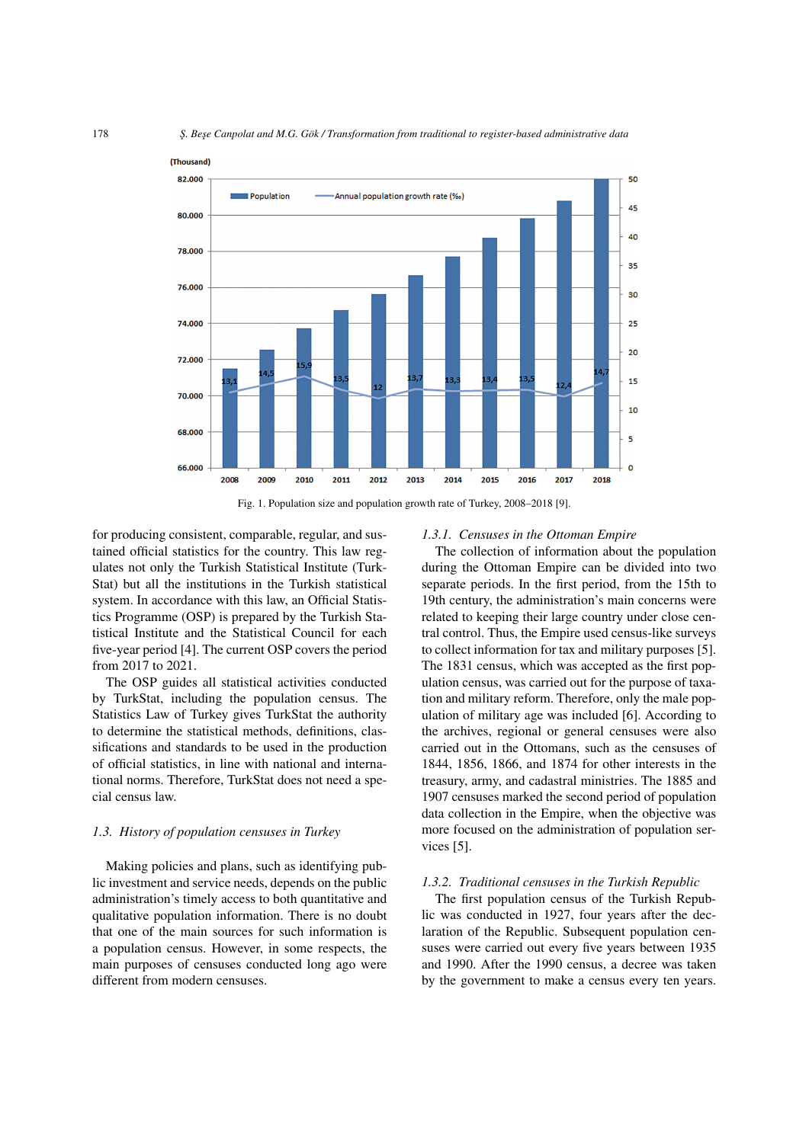

<span id="page-1-0"></span>Fig. 1. Population size and population growth rate of Turkey, 2008–2018 [\[9\]](#page-8-0).

for producing consistent, comparable, regular, and sustained official statistics for the country. This law regulates not only the Turkish Statistical Institute (Turk-Stat) but all the institutions in the Turkish statistical system. In accordance with this law, an Official Statistics Programme (OSP) is prepared by the Turkish Statistical Institute and the Statistical Council for each five-year period [\[4\]](#page-7-3). The current OSP covers the period from 2017 to 2021.

The OSP guides all statistical activities conducted by TurkStat, including the population census. The Statistics Law of Turkey gives TurkStat the authority to determine the statistical methods, definitions, classifications and standards to be used in the production of official statistics, in line with national and international norms. Therefore, TurkStat does not need a special census law.

### *1.3. History of population censuses in Turkey*

Making policies and plans, such as identifying public investment and service needs, depends on the public administration's timely access to both quantitative and qualitative population information. There is no doubt that one of the main sources for such information is a population census. However, in some respects, the main purposes of censuses conducted long ago were different from modern censuses.

#### *1.3.1. Censuses in the Ottoman Empire*

The collection of information about the population during the Ottoman Empire can be divided into two separate periods. In the first period, from the 15th to 19th century, the administration's main concerns were related to keeping their large country under close central control. Thus, the Empire used census-like surveys to collect information for tax and military purposes [\[5\]](#page-7-4). The 1831 census, which was accepted as the first population census, was carried out for the purpose of taxation and military reform. Therefore, only the male population of military age was included [\[6\]](#page-7-5). According to the archives, regional or general censuses were also carried out in the Ottomans, such as the censuses of 1844, 1856, 1866, and 1874 for other interests in the treasury, army, and cadastral ministries. The 1885 and 1907 censuses marked the second period of population data collection in the Empire, when the objective was more focused on the administration of population services [\[5\]](#page-7-4).

## *1.3.2. Traditional censuses in the Turkish Republic*

The first population census of the Turkish Republic was conducted in 1927, four years after the declaration of the Republic. Subsequent population censuses were carried out every five years between 1935 and 1990. After the 1990 census, a decree was taken by the government to make a census every ten years.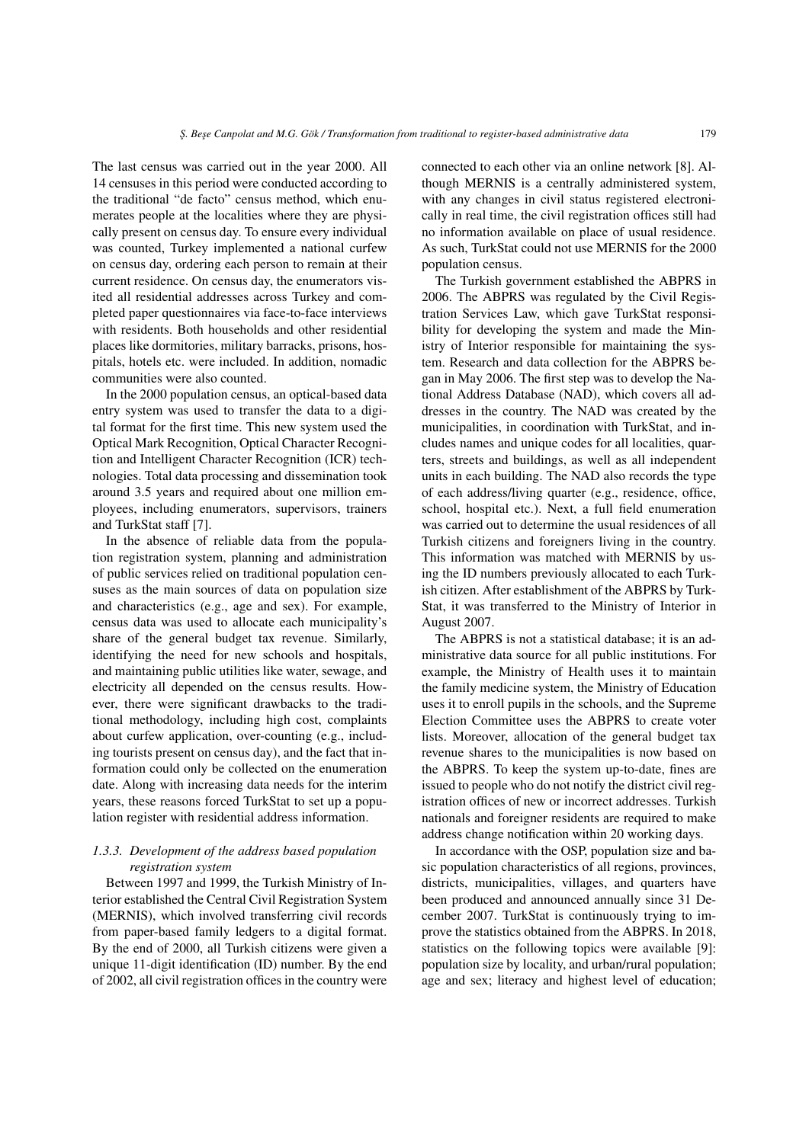The last census was carried out in the year 2000. All 14 censuses in this period were conducted according to the traditional "de facto" census method, which enumerates people at the localities where they are physically present on census day. To ensure every individual was counted, Turkey implemented a national curfew on census day, ordering each person to remain at their current residence. On census day, the enumerators visited all residential addresses across Turkey and completed paper questionnaires via face-to-face interviews with residents. Both households and other residential places like dormitories, military barracks, prisons, hospitals, hotels etc. were included. In addition, nomadic communities were also counted.

In the 2000 population census, an optical-based data entry system was used to transfer the data to a digital format for the first time. This new system used the Optical Mark Recognition, Optical Character Recognition and Intelligent Character Recognition (ICR) technologies. Total data processing and dissemination took around 3.5 years and required about one million employees, including enumerators, supervisors, trainers and TurkStat staff [\[7\]](#page-8-1).

In the absence of reliable data from the population registration system, planning and administration of public services relied on traditional population censuses as the main sources of data on population size and characteristics (e.g., age and sex). For example, census data was used to allocate each municipality's share of the general budget tax revenue. Similarly, identifying the need for new schools and hospitals, and maintaining public utilities like water, sewage, and electricity all depended on the census results. However, there were significant drawbacks to the traditional methodology, including high cost, complaints about curfew application, over-counting (e.g., including tourists present on census day), and the fact that information could only be collected on the enumeration date. Along with increasing data needs for the interim years, these reasons forced TurkStat to set up a population register with residential address information.

## *1.3.3. Development of the address based population registration system*

Between 1997 and 1999, the Turkish Ministry of Interior established the Central Civil Registration System (MERNIS), which involved transferring civil records from paper-based family ledgers to a digital format. By the end of 2000, all Turkish citizens were given a unique 11-digit identification (ID) number. By the end of 2002, all civil registration offices in the country were connected to each other via an online network [\[8\]](#page-8-2). Although MERNIS is a centrally administered system, with any changes in civil status registered electronically in real time, the civil registration offices still had no information available on place of usual residence. As such, TurkStat could not use MERNIS for the 2000 population census.

The Turkish government established the ABPRS in 2006. The ABPRS was regulated by the Civil Registration Services Law, which gave TurkStat responsibility for developing the system and made the Ministry of Interior responsible for maintaining the system. Research and data collection for the ABPRS began in May 2006. The first step was to develop the National Address Database (NAD), which covers all addresses in the country. The NAD was created by the municipalities, in coordination with TurkStat, and includes names and unique codes for all localities, quarters, streets and buildings, as well as all independent units in each building. The NAD also records the type of each address/living quarter (e.g., residence, office, school, hospital etc.). Next, a full field enumeration was carried out to determine the usual residences of all Turkish citizens and foreigners living in the country. This information was matched with MERNIS by using the ID numbers previously allocated to each Turkish citizen. After establishment of the ABPRS by Turk-Stat, it was transferred to the Ministry of Interior in August 2007.

The ABPRS is not a statistical database; it is an administrative data source for all public institutions. For example, the Ministry of Health uses it to maintain the family medicine system, the Ministry of Education uses it to enroll pupils in the schools, and the Supreme Election Committee uses the ABPRS to create voter lists. Moreover, allocation of the general budget tax revenue shares to the municipalities is now based on the ABPRS. To keep the system up-to-date, fines are issued to people who do not notify the district civil registration offices of new or incorrect addresses. Turkish nationals and foreigner residents are required to make address change notification within 20 working days.

In accordance with the OSP, population size and basic population characteristics of all regions, provinces, districts, municipalities, villages, and quarters have been produced and announced annually since 31 December 2007. TurkStat is continuously trying to improve the statistics obtained from the ABPRS. In 2018, statistics on the following topics were available [\[9\]](#page-8-0): population size by locality, and urban/rural population; age and sex; literacy and highest level of education;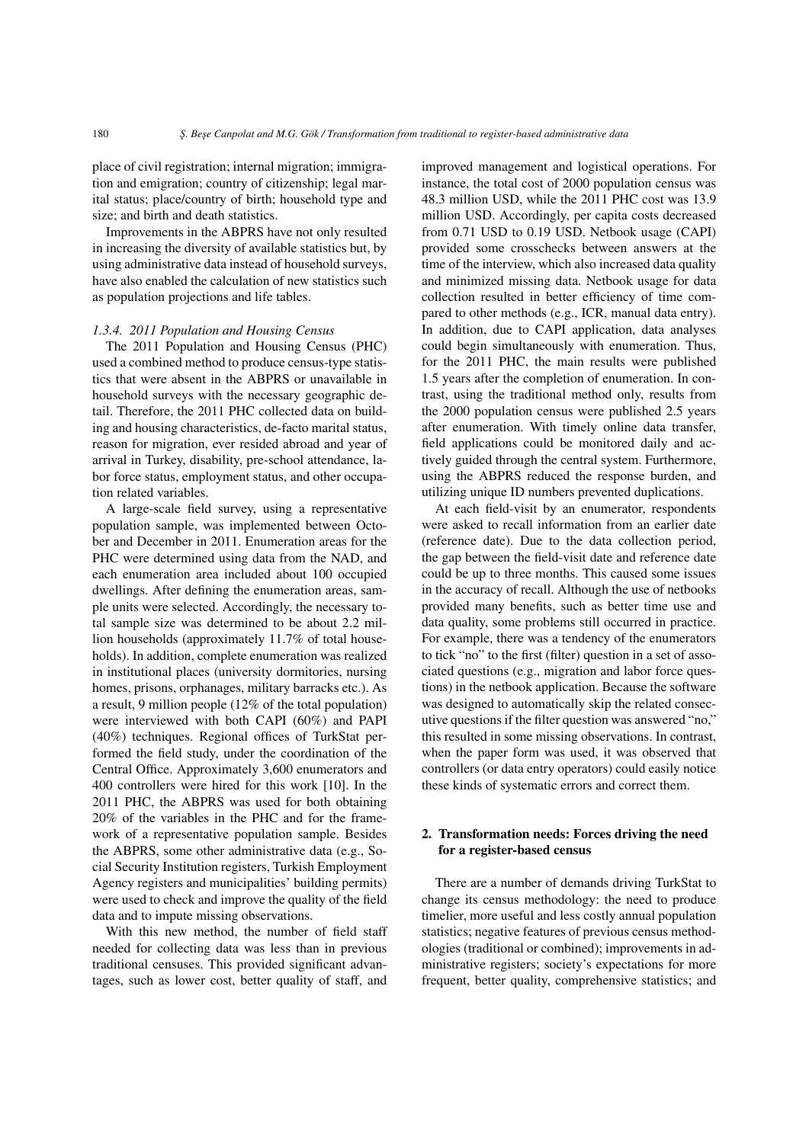place of civil registration; internal migration; immigration and emigration; country of citizenship; legal marital status; place/country of birth; household type and size; and birth and death statistics.

Improvements in the ABPRS have not only resulted in increasing the diversity of available statistics but, by using administrative data instead of household surveys, have also enabled the calculation of new statistics such as population projections and life tables.

#### *1.3.4. 2011 Population and Housing Census*

The 2011 Population and Housing Census (PHC) used a combined method to produce census-type statistics that were absent in the ABPRS or unavailable in household surveys with the necessary geographic detail. Therefore, the 2011 PHC collected data on building and housing characteristics, de-facto marital status, reason for migration, ever resided abroad and year of arrival in Turkey, disability, pre-school attendance, labor force status, employment status, and other occupation related variables.

A large-scale field survey, using a representative population sample, was implemented between October and December in 2011. Enumeration areas for the PHC were determined using data from the NAD, and each enumeration area included about 100 occupied dwellings. After defining the enumeration areas, sample units were selected. Accordingly, the necessary total sample size was determined to be about 2.2 million households (approximately 11.7% of total households). In addition, complete enumeration was realized in institutional places (university dormitories, nursing homes, prisons, orphanages, military barracks etc.). As a result, 9 million people (12% of the total population) were interviewed with both CAPI (60%) and PAPI (40%) techniques. Regional offices of TurkStat performed the field study, under the coordination of the Central Office. Approximately 3,600 enumerators and 400 controllers were hired for this work [\[10\]](#page-8-3). In the 2011 PHC, the ABPRS was used for both obtaining 20% of the variables in the PHC and for the framework of a representative population sample. Besides the ABPRS, some other administrative data (e.g., Social Security Institution registers, Turkish Employment Agency registers and municipalities' building permits) were used to check and improve the quality of the field data and to impute missing observations.

With this new method, the number of field staff needed for collecting data was less than in previous traditional censuses. This provided significant advantages, such as lower cost, better quality of staff, and improved management and logistical operations. For instance, the total cost of 2000 population census was 48.3 million USD, while the 2011 PHC cost was 13.9 million USD. Accordingly, per capita costs decreased from 0.71 USD to 0.19 USD. Netbook usage (CAPI) provided some crosschecks between answers at the time of the interview, which also increased data quality and minimized missing data. Netbook usage for data collection resulted in better efficiency of time compared to other methods (e.g., ICR, manual data entry). In addition, due to CAPI application, data analyses could begin simultaneously with enumeration. Thus, for the 2011 PHC, the main results were published 1.5 years after the completion of enumeration. In contrast, using the traditional method only, results from the 2000 population census were published 2.5 years after enumeration. With timely online data transfer, field applications could be monitored daily and actively guided through the central system. Furthermore, using the ABPRS reduced the response burden, and utilizing unique ID numbers prevented duplications.

At each field-visit by an enumerator, respondents were asked to recall information from an earlier date (reference date). Due to the data collection period, the gap between the field-visit date and reference date could be up to three months. This caused some issues in the accuracy of recall. Although the use of netbooks provided many benefits, such as better time use and data quality, some problems still occurred in practice. For example, there was a tendency of the enumerators to tick "no" to the first (filter) question in a set of associated questions (e.g., migration and labor force questions) in the netbook application. Because the software was designed to automatically skip the related consecutive questions if the filter question was answered "no," this resulted in some missing observations. In contrast, when the paper form was used, it was observed that controllers (or data entry operators) could easily notice these kinds of systematic errors and correct them.

# 2. Transformation needs: Forces driving the need for a register-based census

There are a number of demands driving TurkStat to change its census methodology: the need to produce timelier, more useful and less costly annual population statistics; negative features of previous census methodologies (traditional or combined); improvements in administrative registers; society's expectations for more frequent, better quality, comprehensive statistics; and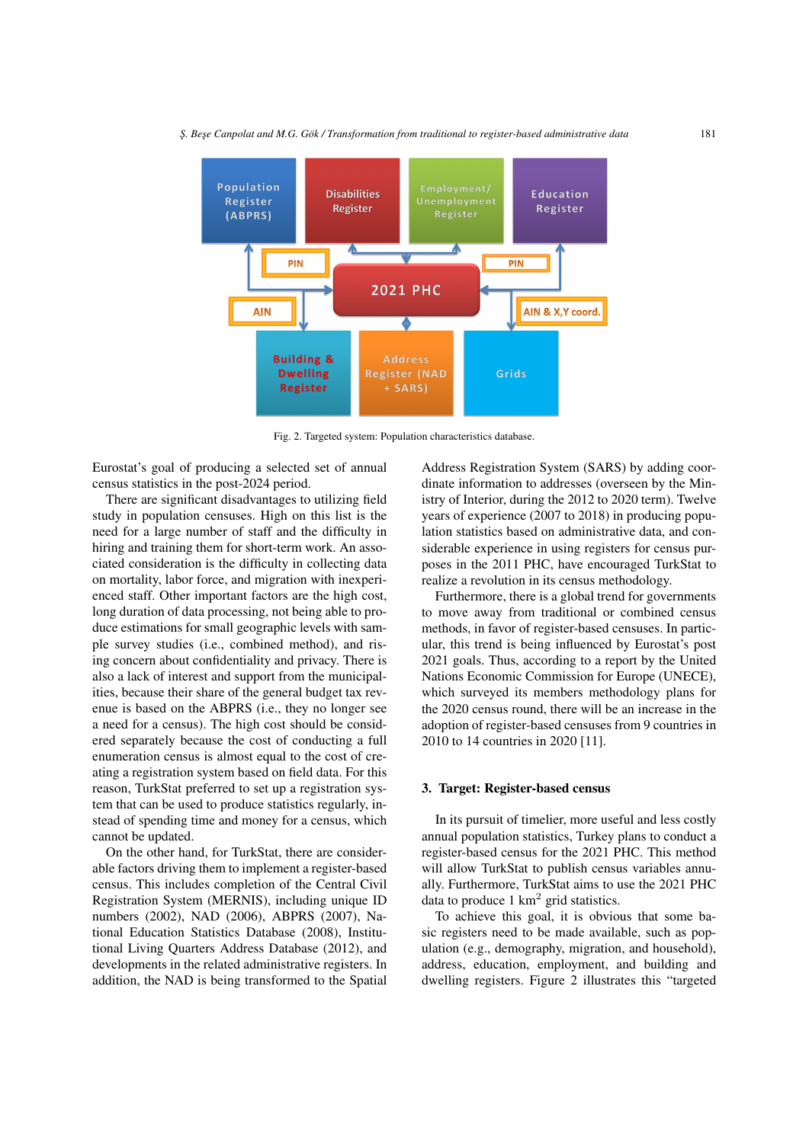

<span id="page-4-0"></span>Fig. 2. Targeted system: Population characteristics database.

Eurostat's goal of producing a selected set of annual census statistics in the post-2024 period.

There are significant disadvantages to utilizing field study in population censuses. High on this list is the need for a large number of staff and the difficulty in hiring and training them for short-term work. An associated consideration is the difficulty in collecting data on mortality, labor force, and migration with inexperienced staff. Other important factors are the high cost, long duration of data processing, not being able to produce estimations for small geographic levels with sample survey studies (i.e., combined method), and rising concern about confidentiality and privacy. There is also a lack of interest and support from the municipalities, because their share of the general budget tax revenue is based on the ABPRS (i.e., they no longer see a need for a census). The high cost should be considered separately because the cost of conducting a full enumeration census is almost equal to the cost of creating a registration system based on field data. For this reason, TurkStat preferred to set up a registration system that can be used to produce statistics regularly, instead of spending time and money for a census, which cannot be updated.

On the other hand, for TurkStat, there are considerable factors driving them to implement a register-based census. This includes completion of the Central Civil Registration System (MERNIS), including unique ID numbers (2002), NAD (2006), ABPRS (2007), National Education Statistics Database (2008), Institutional Living Quarters Address Database (2012), and developments in the related administrative registers. In addition, the NAD is being transformed to the Spatial Address Registration System (SARS) by adding coordinate information to addresses (overseen by the Ministry of Interior, during the 2012 to 2020 term). Twelve years of experience (2007 to 2018) in producing population statistics based on administrative data, and considerable experience in using registers for census purposes in the 2011 PHC, have encouraged TurkStat to realize a revolution in its census methodology.

Furthermore, there is a global trend for governments to move away from traditional or combined census methods, in favor of register-based censuses. In particular, this trend is being influenced by Eurostat's post 2021 goals. Thus, according to a report by the United Nations Economic Commission for Europe (UNECE), which surveyed its members methodology plans for the 2020 census round, there will be an increase in the adoption of register-based censuses from 9 countries in 2010 to 14 countries in 2020 [\[11\]](#page-8-4).

## 3. Target: Register-based census

In its pursuit of timelier, more useful and less costly annual population statistics, Turkey plans to conduct a register-based census for the 2021 PHC. This method will allow TurkStat to publish census variables annually. Furthermore, TurkStat aims to use the 2021 PHC data to produce  $1 \text{ km}^2$  grid statistics.

To achieve this goal, it is obvious that some basic registers need to be made available, such as population (e.g., demography, migration, and household), address, education, employment, and building and dwelling registers. Figure [2](#page-4-0) illustrates this "targeted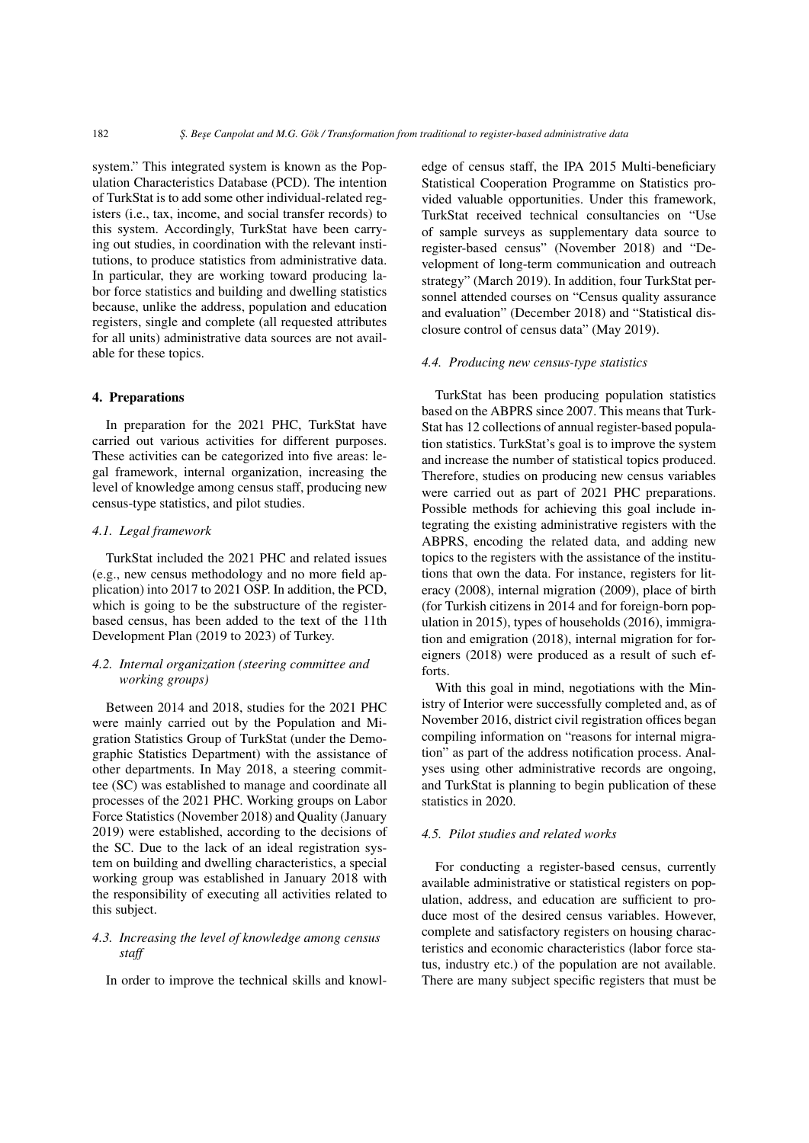system." This integrated system is known as the Population Characteristics Database (PCD). The intention of TurkStat is to add some other individual-related registers (i.e., tax, income, and social transfer records) to this system. Accordingly, TurkStat have been carrying out studies, in coordination with the relevant institutions, to produce statistics from administrative data. In particular, they are working toward producing labor force statistics and building and dwelling statistics because, unlike the address, population and education registers, single and complete (all requested attributes for all units) administrative data sources are not available for these topics.

#### 4. Preparations

In preparation for the 2021 PHC, TurkStat have carried out various activities for different purposes. These activities can be categorized into five areas: legal framework, internal organization, increasing the level of knowledge among census staff, producing new census-type statistics, and pilot studies.

## *4.1. Legal framework*

TurkStat included the 2021 PHC and related issues (e.g., new census methodology and no more field application) into 2017 to 2021 OSP. In addition, the PCD, which is going to be the substructure of the registerbased census, has been added to the text of the 11th Development Plan (2019 to 2023) of Turkey.

# *4.2. Internal organization (steering committee and working groups)*

Between 2014 and 2018, studies for the 2021 PHC were mainly carried out by the Population and Migration Statistics Group of TurkStat (under the Demographic Statistics Department) with the assistance of other departments. In May 2018, a steering committee (SC) was established to manage and coordinate all processes of the 2021 PHC. Working groups on Labor Force Statistics (November 2018) and Quality (January 2019) were established, according to the decisions of the SC. Due to the lack of an ideal registration system on building and dwelling characteristics, a special working group was established in January 2018 with the responsibility of executing all activities related to this subject.

## *4.3. Increasing the level of knowledge among census staff*

In order to improve the technical skills and knowl-

edge of census staff, the IPA 2015 Multi-beneficiary Statistical Cooperation Programme on Statistics provided valuable opportunities. Under this framework, TurkStat received technical consultancies on "Use of sample surveys as supplementary data source to register-based census" (November 2018) and "Development of long-term communication and outreach strategy" (March 2019). In addition, four TurkStat personnel attended courses on "Census quality assurance and evaluation" (December 2018) and "Statistical disclosure control of census data" (May 2019).

#### *4.4. Producing new census-type statistics*

TurkStat has been producing population statistics based on the ABPRS since 2007. This means that Turk-Stat has 12 collections of annual register-based population statistics. TurkStat's goal is to improve the system and increase the number of statistical topics produced. Therefore, studies on producing new census variables were carried out as part of 2021 PHC preparations. Possible methods for achieving this goal include integrating the existing administrative registers with the ABPRS, encoding the related data, and adding new topics to the registers with the assistance of the institutions that own the data. For instance, registers for literacy (2008), internal migration (2009), place of birth (for Turkish citizens in 2014 and for foreign-born population in 2015), types of households (2016), immigration and emigration (2018), internal migration for foreigners (2018) were produced as a result of such efforts.

With this goal in mind, negotiations with the Ministry of Interior were successfully completed and, as of November 2016, district civil registration offices began compiling information on "reasons for internal migration" as part of the address notification process. Analyses using other administrative records are ongoing, and TurkStat is planning to begin publication of these statistics in 2020.

## *4.5. Pilot studies and related works*

For conducting a register-based census, currently available administrative or statistical registers on population, address, and education are sufficient to produce most of the desired census variables. However, complete and satisfactory registers on housing characteristics and economic characteristics (labor force status, industry etc.) of the population are not available. There are many subject specific registers that must be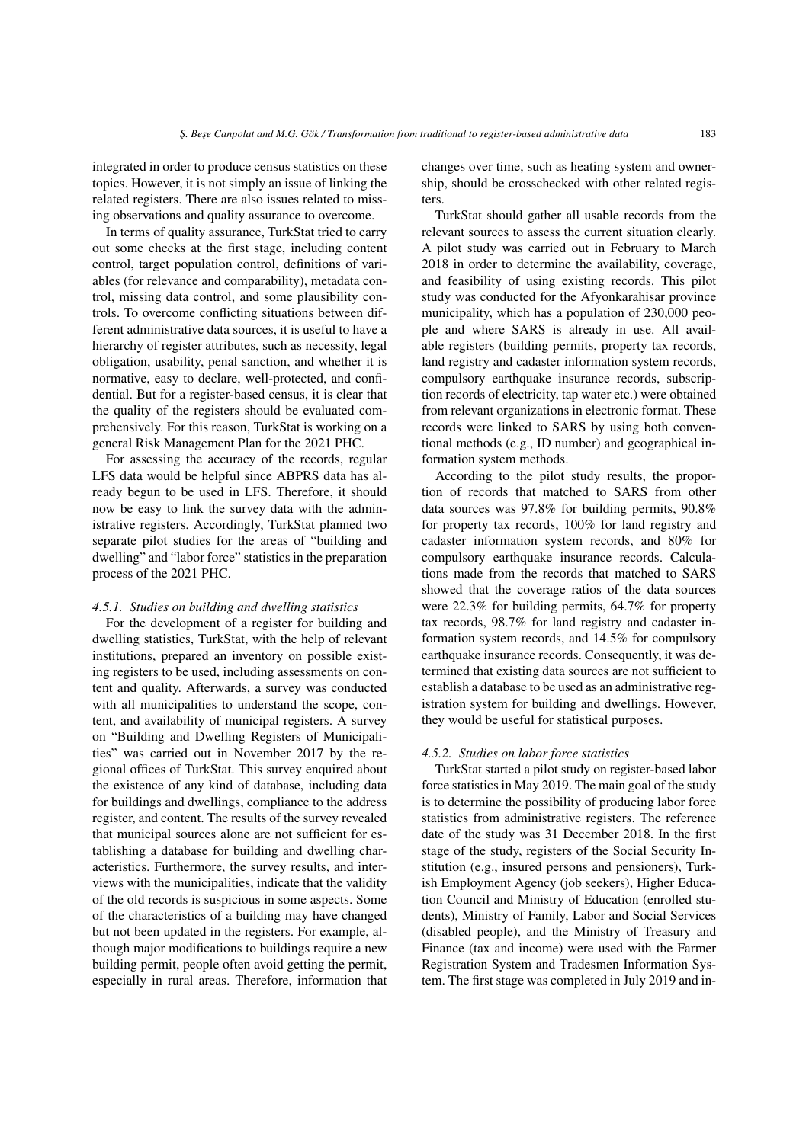integrated in order to produce census statistics on these topics. However, it is not simply an issue of linking the related registers. There are also issues related to missing observations and quality assurance to overcome.

In terms of quality assurance, TurkStat tried to carry out some checks at the first stage, including content control, target population control, definitions of variables (for relevance and comparability), metadata control, missing data control, and some plausibility controls. To overcome conflicting situations between different administrative data sources, it is useful to have a hierarchy of register attributes, such as necessity, legal obligation, usability, penal sanction, and whether it is normative, easy to declare, well-protected, and confidential. But for a register-based census, it is clear that the quality of the registers should be evaluated comprehensively. For this reason, TurkStat is working on a general Risk Management Plan for the 2021 PHC.

For assessing the accuracy of the records, regular LFS data would be helpful since ABPRS data has already begun to be used in LFS. Therefore, it should now be easy to link the survey data with the administrative registers. Accordingly, TurkStat planned two separate pilot studies for the areas of "building and dwelling" and "labor force" statistics in the preparation process of the 2021 PHC.

#### *4.5.1. Studies on building and dwelling statistics*

For the development of a register for building and dwelling statistics, TurkStat, with the help of relevant institutions, prepared an inventory on possible existing registers to be used, including assessments on content and quality. Afterwards, a survey was conducted with all municipalities to understand the scope, content, and availability of municipal registers. A survey on "Building and Dwelling Registers of Municipalities" was carried out in November 2017 by the regional offices of TurkStat. This survey enquired about the existence of any kind of database, including data for buildings and dwellings, compliance to the address register, and content. The results of the survey revealed that municipal sources alone are not sufficient for establishing a database for building and dwelling characteristics. Furthermore, the survey results, and interviews with the municipalities, indicate that the validity of the old records is suspicious in some aspects. Some of the characteristics of a building may have changed but not been updated in the registers. For example, although major modifications to buildings require a new building permit, people often avoid getting the permit, especially in rural areas. Therefore, information that changes over time, such as heating system and ownership, should be crosschecked with other related registers.

TurkStat should gather all usable records from the relevant sources to assess the current situation clearly. A pilot study was carried out in February to March 2018 in order to determine the availability, coverage, and feasibility of using existing records. This pilot study was conducted for the Afyonkarahisar province municipality, which has a population of 230,000 people and where SARS is already in use. All available registers (building permits, property tax records, land registry and cadaster information system records, compulsory earthquake insurance records, subscription records of electricity, tap water etc.) were obtained from relevant organizations in electronic format. These records were linked to SARS by using both conventional methods (e.g., ID number) and geographical information system methods.

According to the pilot study results, the proportion of records that matched to SARS from other data sources was 97.8% for building permits, 90.8% for property tax records, 100% for land registry and cadaster information system records, and 80% for compulsory earthquake insurance records. Calculations made from the records that matched to SARS showed that the coverage ratios of the data sources were 22.3% for building permits, 64.7% for property tax records, 98.7% for land registry and cadaster information system records, and 14.5% for compulsory earthquake insurance records. Consequently, it was determined that existing data sources are not sufficient to establish a database to be used as an administrative registration system for building and dwellings. However, they would be useful for statistical purposes.

#### *4.5.2. Studies on labor force statistics*

TurkStat started a pilot study on register-based labor force statistics in May 2019. The main goal of the study is to determine the possibility of producing labor force statistics from administrative registers. The reference date of the study was 31 December 2018. In the first stage of the study, registers of the Social Security Institution (e.g., insured persons and pensioners), Turkish Employment Agency (job seekers), Higher Education Council and Ministry of Education (enrolled students), Ministry of Family, Labor and Social Services (disabled people), and the Ministry of Treasury and Finance (tax and income) were used with the Farmer Registration System and Tradesmen Information System. The first stage was completed in July 2019 and in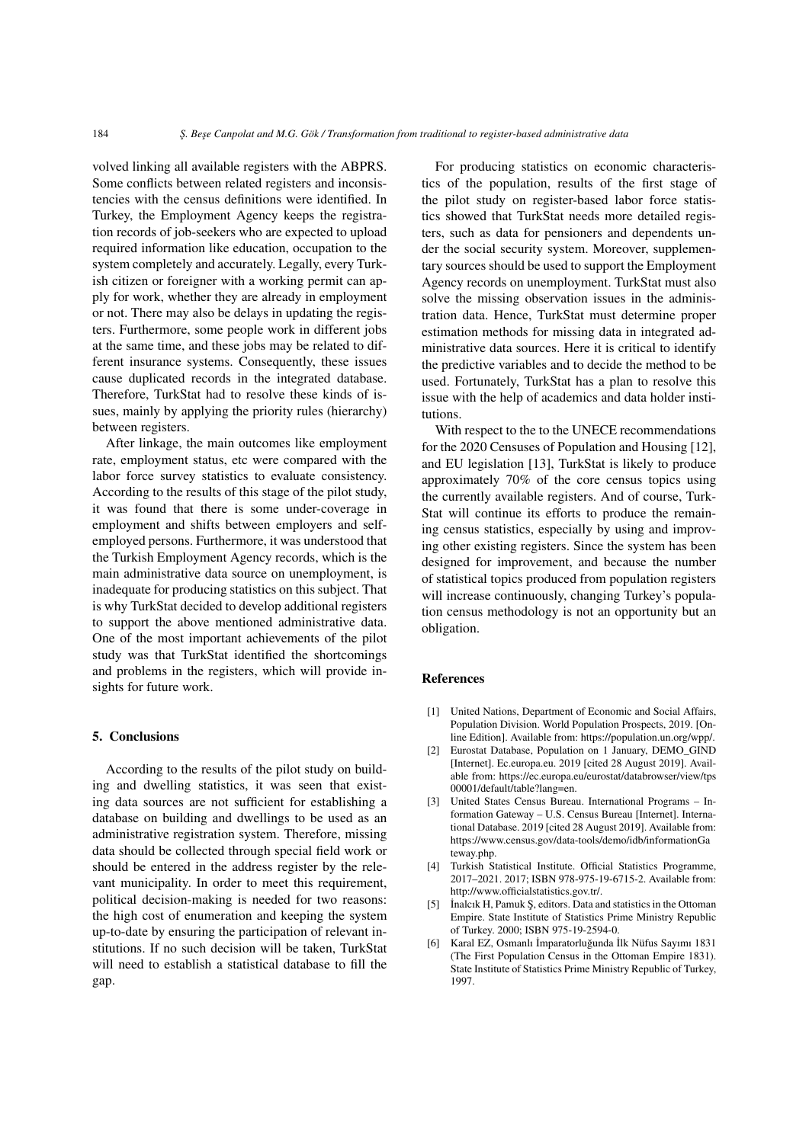volved linking all available registers with the ABPRS. Some conflicts between related registers and inconsistencies with the census definitions were identified. In Turkey, the Employment Agency keeps the registration records of job-seekers who are expected to upload required information like education, occupation to the system completely and accurately. Legally, every Turkish citizen or foreigner with a working permit can apply for work, whether they are already in employment or not. There may also be delays in updating the registers. Furthermore, some people work in different jobs at the same time, and these jobs may be related to different insurance systems. Consequently, these issues cause duplicated records in the integrated database. Therefore, TurkStat had to resolve these kinds of issues, mainly by applying the priority rules (hierarchy) between registers.

After linkage, the main outcomes like employment rate, employment status, etc were compared with the labor force survey statistics to evaluate consistency. According to the results of this stage of the pilot study, it was found that there is some under-coverage in employment and shifts between employers and selfemployed persons. Furthermore, it was understood that the Turkish Employment Agency records, which is the main administrative data source on unemployment, is inadequate for producing statistics on this subject. That is why TurkStat decided to develop additional registers to support the above mentioned administrative data. One of the most important achievements of the pilot study was that TurkStat identified the shortcomings and problems in the registers, which will provide insights for future work.

# 5. Conclusions

According to the results of the pilot study on building and dwelling statistics, it was seen that existing data sources are not sufficient for establishing a database on building and dwellings to be used as an administrative registration system. Therefore, missing data should be collected through special field work or should be entered in the address register by the relevant municipality. In order to meet this requirement, political decision-making is needed for two reasons: the high cost of enumeration and keeping the system up-to-date by ensuring the participation of relevant institutions. If no such decision will be taken, TurkStat will need to establish a statistical database to fill the gap.

For producing statistics on economic characteristics of the population, results of the first stage of the pilot study on register-based labor force statistics showed that TurkStat needs more detailed registers, such as data for pensioners and dependents under the social security system. Moreover, supplementary sources should be used to support the Employment Agency records on unemployment. TurkStat must also solve the missing observation issues in the administration data. Hence, TurkStat must determine proper estimation methods for missing data in integrated administrative data sources. Here it is critical to identify the predictive variables and to decide the method to be used. Fortunately, TurkStat has a plan to resolve this issue with the help of academics and data holder institutions.

With respect to the to the UNECE recommendations for the 2020 Censuses of Population and Housing [\[12\]](#page-8-5), and EU legislation [\[13\]](#page-8-6), TurkStat is likely to produce approximately 70% of the core census topics using the currently available registers. And of course, Turk-Stat will continue its efforts to produce the remaining census statistics, especially by using and improving other existing registers. Since the system has been designed for improvement, and because the number of statistical topics produced from population registers will increase continuously, changing Turkey's population census methodology is not an opportunity but an obligation.

#### References

- <span id="page-7-0"></span>[1] United Nations, Department of Economic and Social Affairs, Population Division. World Population Prospects, 2019. [Online Edition]. Available from: https://population.un.org/wpp/.
- <span id="page-7-1"></span>[2] Eurostat Database, Population on 1 January, DEMO\_GIND [Internet]. Ec.europa.eu. 2019 [cited 28 August 2019]. Available from: https://ec.europa.eu/eurostat/databrowser/view/tps 00001/default/table?lang=en.
- <span id="page-7-2"></span>[3] United States Census Bureau. International Programs – Information Gateway – U.S. Census Bureau [Internet]. International Database. 2019 [cited 28 August 2019]. Available from: https://www.census.gov/data-tools/demo/idb/informationGa teway.php.
- <span id="page-7-3"></span>[4] Turkish Statistical Institute. Official Statistics Programme, 2017–2021. 2017; ISBN 978-975-19-6715-2. Available from: http://www.officialstatistics.gov.tr/.
- <span id="page-7-4"></span>[5] Inalcık H, Pamuk Ş, editors. Data and statistics in the Ottoman Empire. State Institute of Statistics Prime Ministry Republic of Turkey. 2000; ISBN 975-19-2594-0.
- <span id="page-7-5"></span>[6] Karal EZ, Osmanlı İmparatorluğunda İlk Nüfus Sayımı 1831 (The First Population Census in the Ottoman Empire 1831). State Institute of Statistics Prime Ministry Republic of Turkey, 1997.